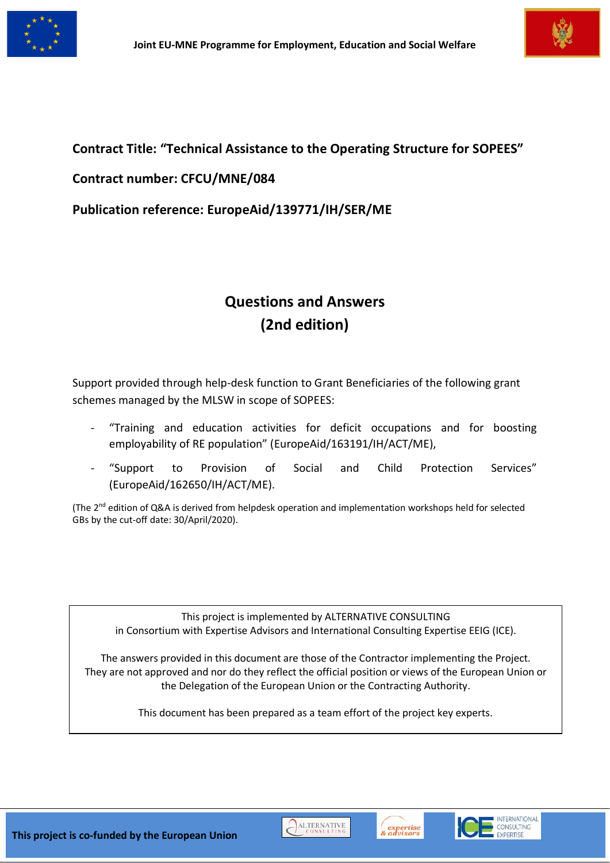



## **Contract Title: "Technical Assistance to the Operating Structure for SOPEES"**

## **Contract number: CFCU/MNE/084**

**Publication reference: EuropeAid/139771/IH/SER/ME**

## **Questions and Answers (2nd edition)**

Support provided through help-desk function to Grant Beneficiaries of the following grant schemes managed by the MLSW in scope of SOPEES:

- "Training and education activities for deficit occupations and for boosting employability of RE population" (EuropeAid/163191/IH/ACT/ME),
- "Support to Provision of Social and Child Protection Services" (EuropeAid/162650/IH/ACT/ME).

(The  $2^{nd}$  edition of Q&A is derived from helpdesk operation and implementation workshops held for selected GBs by the cut-off date: 30/April/2020).

This project is implemented by ALTERNATIVE CONSULTING in Consortium with Expertise Advisors and International Consulting Expertise EEIG (ICE).

The answers provided in this document are those of the Contractor implementing the Project. They are not approved and nor do they reflect the official position or views of the European Union or the Delegation of the European Union or the Contracting Authority.

This document has been prepared as a team effort of the project key experts.

**ALTERNATIVE** 



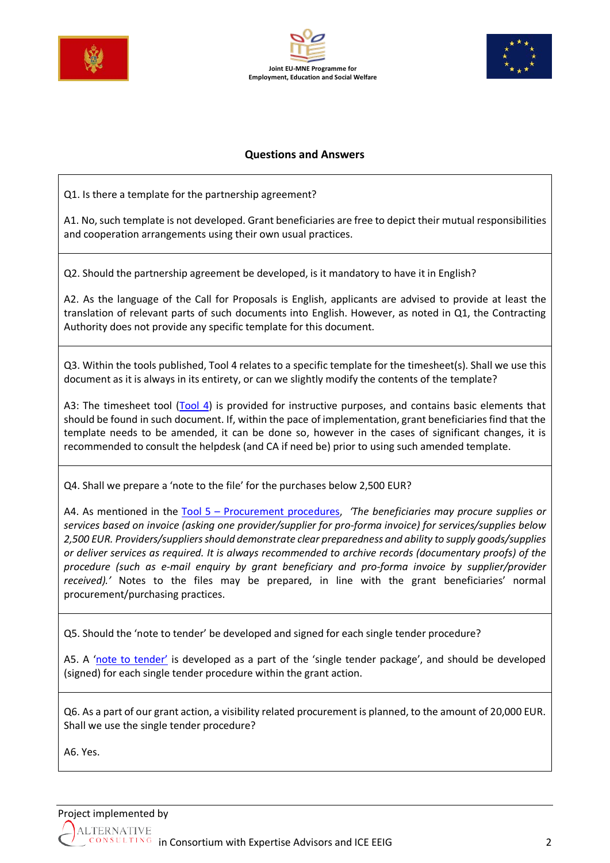





## **Questions and Answers**

Q1. Is there a template for the partnership agreement?

A1. No, such template is not developed. Grant beneficiaries are free to depict their mutual responsibilities and cooperation arrangements using their own usual practices.

Q2. Should the partnership agreement be developed, is it mandatory to have it in English?

A2. As the language of the Call for Proposals is English, applicants are advised to provide at least the translation of relevant parts of such documents into English. However, as noted in Q1, the Contracting Authority does not provide any specific template for this document.

Q3. Within the tools published, Tool 4 relates to a specific template for the timesheet(s). Shall we use this document as it is always in its entirety, or can we slightly modify the contents of the template?

A3: The timesheet tool [\(Tool 4\)](http://eesp.me/wp-content/uploads/2020/02/Tool-4-Timesheet-final.xls) is provided for instructive purposes, and contains basic elements that should be found in such document. If, within the pace of implementation, grant beneficiaries find that the template needs to be amended, it can be done so, however in the cases of significant changes, it is recommended to consult the helpdesk (and CA if need be) prior to using such amended template.

Q4. Shall we prepare a 'note to the file' for the purchases below 2,500 EUR?

A4. As mentioned in the Tool 5 – [Procurement procedures,](http://eesp.me/wp-content/uploads/2020/02/Tool-5-Procurement-procedures.docx) *'The beneficiaries may procure supplies or services based on invoice (asking one provider/supplier for pro-forma invoice) for services/supplies below 2,500 EUR. Providers/suppliers should demonstrate clear preparedness and ability to supply goods/supplies or deliver services as required. It is always recommended to archive records (documentary proofs) of the procedure (such as e-mail enquiry by grant beneficiary and pro-forma invoice by supplier/provider received).'* Notes to the files may be prepared, in line with the grant beneficiaries' normal procurement/purchasing practices.

Q5. Should the 'note to tender' be developed and signed for each single tender procedure?

A5. A ['note to tender'](http://eesp.me/wp-content/uploads/2020/02/Tool-5-Note-on-Tender-Single-tenders-or-Negotiated-procedures.docx) is developed as a part of the 'single tender package', and should be developed (signed) for each single tender procedure within the grant action.

Q6. As a part of our grant action, a visibility related procurement is planned, to the amount of 20,000 EUR. Shall we use the single tender procedure?

A6. Yes.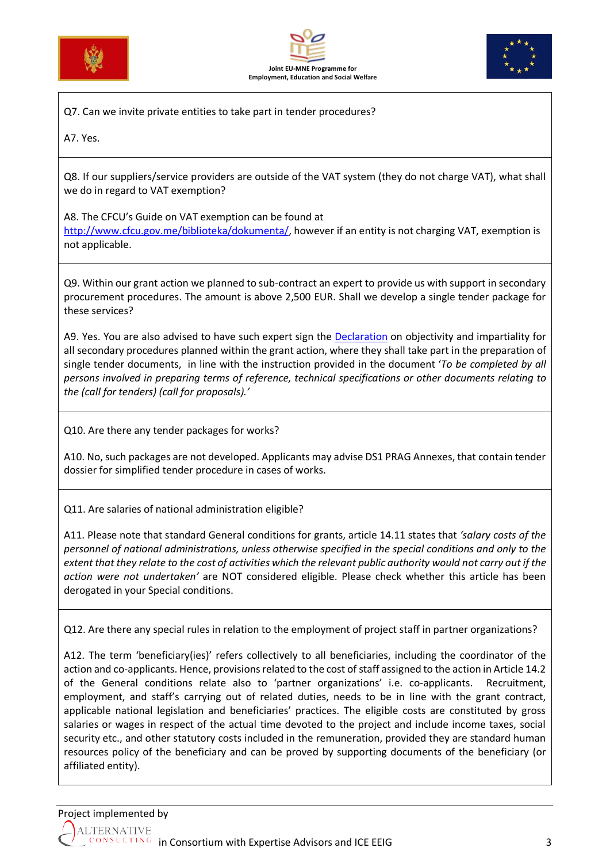





Q7. Can we invite private entities to take part in tender procedures?

A7. Yes.

Q8. If our suppliers/service providers are outside of the VAT system (they do not charge VAT), what shall we do in regard to VAT exemption?

A8. The CFCU's Guide on VAT exemption can be found at

[http://www.cfcu.gov.me/biblioteka/dokumenta/,](http://www.cfcu.gov.me/biblioteka/dokumenta/) however if an entity is not charging VAT, exemption is not applicable.

Q9. Within our grant action we planned to sub-contract an expert to provide us with support in secondary procurement procedures. The amount is above 2,500 EUR. Shall we develop a single tender package for these services?

A9. Yes. You are also advised to have such expert sign the [Declaration](http://eesp.me/wp-content/uploads/2020/03/a3_decl_ob_conf_en.doc) on objectivity and impartiality for all secondary procedures planned within the grant action, where they shall take part in the preparation of single tender documents, in line with the instruction provided in the document '*To be completed by all persons involved in preparing terms of reference, technical specifications or other documents relating to the (call for tenders) (call for proposals).'*

Q10. Are there any tender packages for works?

A10. No, such packages are not developed. Applicants may advise DS1 PRAG Annexes, that contain tender dossier for simplified tender procedure in cases of works.

Q11. Are salaries of national administration eligible?

A11. Please note that standard General conditions for grants, article 14.11 states that *'salary costs of the personnel of national administrations, unless otherwise specified in the special conditions and only to the extent that they relate to the cost of activities which the relevant public authority would not carry out if the action were not undertaken'* are NOT considered eligible. Please check whether this article has been derogated in your Special conditions.

Q12. Are there any special rules in relation to the employment of project staff in partner organizations?

A12. The term 'beneficiary(ies)' refers collectively to all beneficiaries, including the coordinator of the action and co-applicants. Hence, provisions related to the cost of staff assigned to the action in Article 14.2 of the General conditions relate also to 'partner organizations' i.e. co-applicants. Recruitment, employment, and staff's carrying out of related duties, needs to be in line with the grant contract, applicable national legislation and beneficiaries' practices. The eligible costs are constituted by gross salaries or wages in respect of the actual time devoted to the project and include income taxes, social security etc., and other statutory costs included in the remuneration, provided they are standard human resources policy of the beneficiary and can be proved by supporting documents of the beneficiary (or affiliated entity).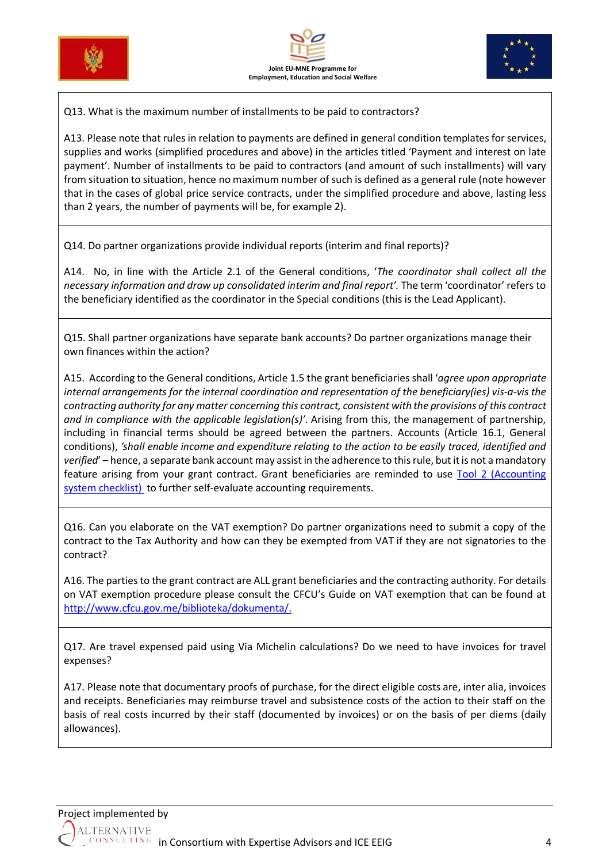





Q13. What is the maximum number of installments to be paid to contractors?

A13. Please note that rules in relation to payments are defined in general condition templates for services, supplies and works (simplified procedures and above) in the articles titled 'Payment and interest on late payment'. Number of installments to be paid to contractors (and amount of such installments) will vary from situation to situation, hence no maximum number of such is defined as a general rule (note however that in the cases of global price service contracts, under the simplified procedure and above, lasting less than 2 years, the number of payments will be, for example 2).

Q14. Do partner organizations provide individual reports (interim and final reports)?

A14. No, in line with the Article 2.1 of the General conditions, '*The coordinator shall collect all the necessary information and draw up consolidated interim and final report'.* The term 'coordinator' refers to the beneficiary identified as the coordinator in the Special conditions (this is the Lead Applicant).

Q15. Shall partner organizations have separate bank accounts? Do partner organizations manage their own finances within the action?

A15. According to the General conditions, Article 1.5 the grant beneficiaries shall '*agree upon appropriate internal arrangements for the internal coordination and representation of the beneficiary(ies) vis-a-vis the contracting authority for any matter concerning this contract, consistent with the provisions of this contract and in compliance with the applicable legislation(s)'*. Arising from this, the management of partnership, including in financial terms should be agreed between the partners. Accounts (Article 16.1, General conditions), *'shall enable income and expenditure relating to the action to be easily traced, identified and verified*' – hence, a separate bank account may assist in the adherence to this rule, but it is not a mandatory feature arising from your grant contract. Grant beneficiaries are reminded to use [Tool 2 \(Accounting](http://eesp.me/wp-content/uploads/2020/03/Tool-2-Accounting-system-checklist-final.xls)  [system checklist\)](http://eesp.me/wp-content/uploads/2020/03/Tool-2-Accounting-system-checklist-final.xls) to further self-evaluate accounting requirements.

Q16. Can you elaborate on the VAT exemption? Do partner organizations need to submit a copy of the contract to the Tax Authority and how can they be exempted from VAT if they are not signatories to the contract?

A16. The parties to the grant contract are ALL grant beneficiaries and the contracting authority. For details on VAT exemption procedure please consult the CFCU's Guide on VAT exemption that can be found at [http://www.cfcu.gov.me/biblioteka/dokumenta/.](http://www.cfcu.gov.me/biblioteka/dokumenta/)

Q17. Are travel expensed paid using Via Michelin calculations? Do we need to have invoices for travel expenses?

A17. Please note that documentary proofs of purchase, for the direct eligible costs are, inter alia, invoices and receipts. Beneficiaries may reimburse travel and subsistence costs of the action to their staff on the basis of real costs incurred by their staff (documented by invoices) or on the basis of per diems (daily allowances).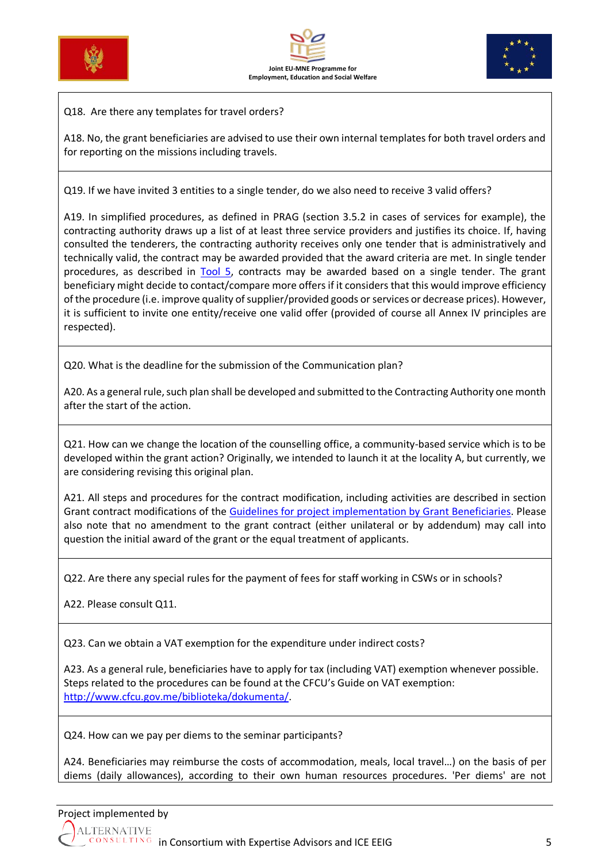





Q18. Are there any templates for travel orders?

A18. No, the grant beneficiaries are advised to use their own internal templates for both travel orders and for reporting on the missions including travels.

Q19. If we have invited 3 entities to a single tender, do we also need to receive 3 valid offers?

A19. In simplified procedures, as defined in PRAG (section 3.5.2 in cases of services for example), the contracting authority draws up a list of at least three service providers and justifies its choice. If, having consulted the tenderers, the contracting authority receives only one tender that is administratively and technically valid, the contract may be awarded provided that the award criteria are met. In single tender procedures, as described in [Tool 5,](http://eesp.me/wp-content/uploads/2020/03/Tool-5-Procurement-procedures.docx) contracts may be awarded based on a single tender. The grant beneficiary might decide to contact/compare more offers if it considers that this would improve efficiency of the procedure (i.e. improve quality of supplier/provided goods or services or decrease prices). However, it is sufficient to invite one entity/receive one valid offer (provided of course all Annex IV principles are respected).

Q20. What is the deadline for the submission of the Communication plan?

A20. As a general rule, such plan shall be developed and submitted to the Contracting Authority one month after the start of the action.

Q21. How can we change the location of the counselling office, a community-based service which is to be developed within the grant action? Originally, we intended to launch it at the locality A, but currently, we are considering revising this original plan.

A21. All steps and procedures for the contract modification, including activities are described in section Grant contract modifications of the [Guidelines for project implementation by Grant Beneficiaries.](http://eesp.me/wp-content/uploads/2020/02/Annex-II-Guidelines-for-project-implementation-by-grant-beneficiaries.pdf) Please also note that no amendment to the grant contract (either unilateral or by addendum) may call into question the initial award of the grant or the equal treatment of applicants.

Q22. Are there any special rules for the payment of fees for staff working in CSWs or in schools?

A22. Please consult Q11.

Q23. Can we obtain a VAT exemption for the expenditure under indirect costs?

A23. As a general rule, beneficiaries have to apply for tax (including VAT) exemption whenever possible. Steps related to the procedures can be found at the CFCU's Guide on VAT exemption: [http://www.cfcu.gov.me/biblioteka/dokumenta/.](http://www.cfcu.gov.me/biblioteka/dokumenta/)

Q24. How can we pay per diems to the seminar participants?

A24. Beneficiaries may reimburse the costs of accommodation, meals, local travel…) on the basis of per diems (daily allowances), according to their own human resources procedures. 'Per diems' are not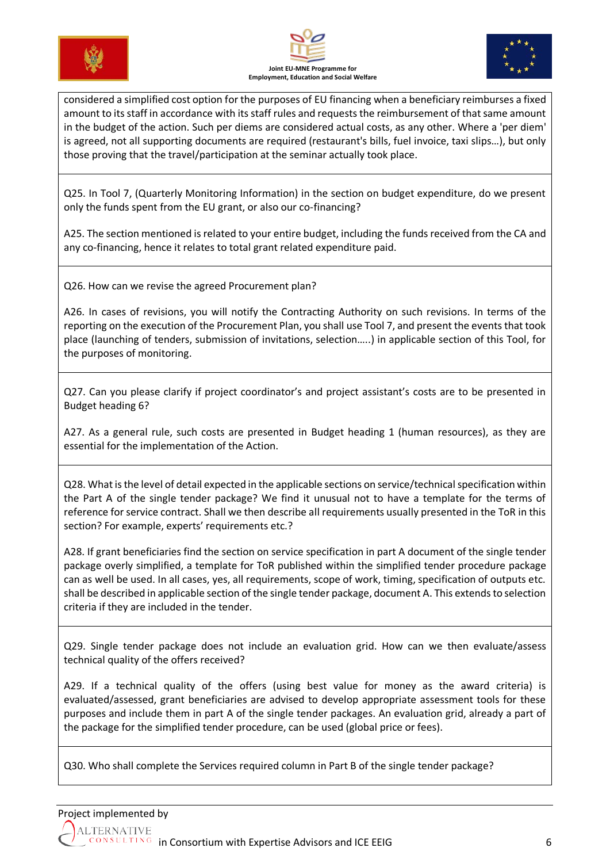





considered a simplified cost option for the purposes of EU financing when a beneficiary reimburses a fixed amount to its staff in accordance with its staff rules and requests the reimbursement of that same amount in the budget of the action. Such per diems are considered actual costs, as any other. Where a 'per diem' is agreed, not all supporting documents are required (restaurant's bills, fuel invoice, taxi slips…), but only those proving that the travel/participation at the seminar actually took place.

Q25. In Tool 7, (Quarterly Monitoring Information) in the section on budget expenditure, do we present only the funds spent from the EU grant, or also our co-financing?

A25. The section mentioned is related to your entire budget, including the funds received from the CA and any co-financing, hence it relates to total grant related expenditure paid.

Q26. How can we revise the agreed Procurement plan?

A26. In cases of revisions, you will notify the Contracting Authority on such revisions. In terms of the reporting on the execution of the Procurement Plan, you shall use Tool 7, and present the events that took place (launching of tenders, submission of invitations, selection…..) in applicable section of this Tool, for the purposes of monitoring.

Q27. Can you please clarify if project coordinator's and project assistant's costs are to be presented in Budget heading 6?

A27. As a general rule, such costs are presented in Budget heading 1 (human resources), as they are essential for the implementation of the Action.

Q28. What is the level of detail expected in the applicable sections on service/technical specification within the Part A of the single tender package? We find it unusual not to have a template for the terms of reference for service contract. Shall we then describe all requirements usually presented in the ToR in this section? For example, experts' requirements etc.?

A28. If grant beneficiaries find the section on service specification in part A document of the single tender package overly simplified, a template for ToR published within the simplified tender procedure package can as well be used. In all cases, yes, all requirements, scope of work, timing, specification of outputs etc. shall be described in applicable section of the single tender package, document A. This extends to selection criteria if they are included in the tender.

Q29. Single tender package does not include an evaluation grid. How can we then evaluate/assess technical quality of the offers received?

A29. If a technical quality of the offers (using best value for money as the award criteria) is evaluated/assessed, grant beneficiaries are advised to develop appropriate assessment tools for these purposes and include them in part A of the single tender packages. An evaluation grid, already a part of the package for the simplified tender procedure, can be used (global price or fees).

Q30. Who shall complete the Services required column in Part B of the single tender package?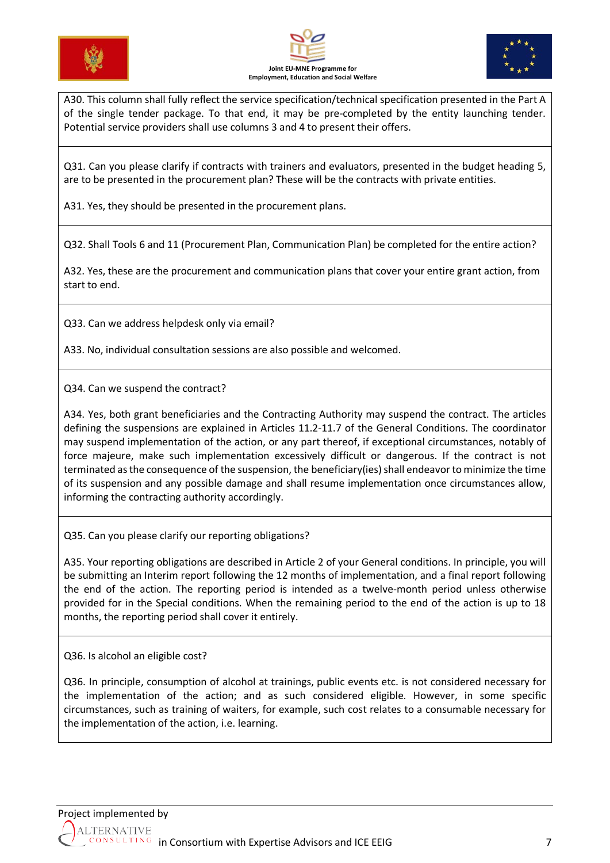





A30. This column shall fully reflect the service specification/technical specification presented in the Part A of the single tender package. To that end, it may be pre-completed by the entity launching tender. Potential service providers shall use columns 3 and 4 to present their offers.

Q31. Can you please clarify if contracts with trainers and evaluators, presented in the budget heading 5, are to be presented in the procurement plan? These will be the contracts with private entities.

A31. Yes, they should be presented in the procurement plans.

Q32. Shall Tools 6 and 11 (Procurement Plan, Communication Plan) be completed for the entire action?

A32. Yes, these are the procurement and communication plans that cover your entire grant action, from start to end.

Q33. Can we address helpdesk only via email?

A33. No, individual consultation sessions are also possible and welcomed.

Q34. Can we suspend the contract?

A34. Yes, both grant beneficiaries and the Contracting Authority may suspend the contract. The articles defining the suspensions are explained in Articles 11.2-11.7 of the General Conditions. The coordinator may suspend implementation of the action, or any part thereof, if exceptional circumstances, notably of force majeure, make such implementation excessively difficult or dangerous. If the contract is not terminated as the consequence of the suspension, the beneficiary(ies) shall endeavor to minimize the time of its suspension and any possible damage and shall resume implementation once circumstances allow, informing the contracting authority accordingly.

Q35. Can you please clarify our reporting obligations?

A35. Your reporting obligations are described in Article 2 of your General conditions. In principle, you will be submitting an Interim report following the 12 months of implementation, and a final report following the end of the action. The reporting period is intended as a twelve-month period unless otherwise provided for in the Special conditions. When the remaining period to the end of the action is up to 18 months, the reporting period shall cover it entirely.

Q36. Is alcohol an eligible cost?

Q36. In principle, consumption of alcohol at trainings, public events etc. is not considered necessary for the implementation of the action; and as such considered eligible. However, in some specific circumstances, such as training of waiters, for example, such cost relates to a consumable necessary for the implementation of the action, i.e. learning.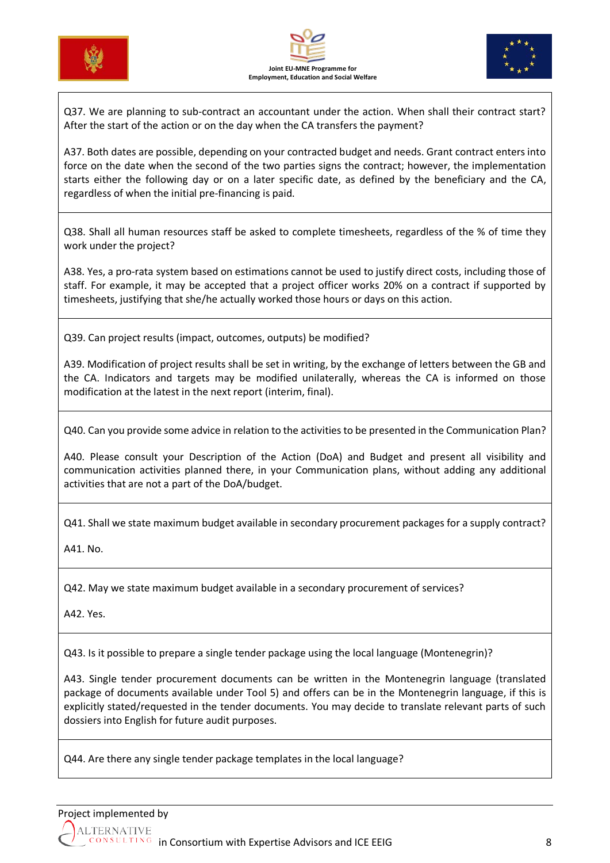





Q37. We are planning to sub-contract an accountant under the action. When shall their contract start? After the start of the action or on the day when the CA transfers the payment?

A37. Both dates are possible, depending on your contracted budget and needs. Grant contract enters into force on the date when the second of the two parties signs the contract; however, the implementation starts either the following day or on a later specific date, as defined by the beneficiary and the CA, regardless of when the initial pre-financing is paid.

Q38. Shall all human resources staff be asked to complete timesheets, regardless of the % of time they work under the project?

A38. Yes, a pro-rata system based on estimations cannot be used to justify direct costs, including those of staff. For example, it may be accepted that a project officer works 20% on a contract if supported by timesheets, justifying that she/he actually worked those hours or days on this action.

Q39. Can project results (impact, outcomes, outputs) be modified?

A39. Modification of project results shall be set in writing, by the exchange of letters between the GB and the CA. Indicators and targets may be modified unilaterally, whereas the CA is informed on those modification at the latest in the next report (interim, final).

Q40. Can you provide some advice in relation to the activities to be presented in the Communication Plan?

A40. Please consult your Description of the Action (DoA) and Budget and present all visibility and communication activities planned there, in your Communication plans, without adding any additional activities that are not a part of the DoA/budget.

Q41. Shall we state maximum budget available in secondary procurement packages for a supply contract?

A41. No.

Q42. May we state maximum budget available in a secondary procurement of services?

A42. Yes.

Q43. Is it possible to prepare a single tender package using the local language (Montenegrin)?

A43. Single tender procurement documents can be written in the Montenegrin language (translated package of documents available under Tool 5) and offers can be in the Montenegrin language, if this is explicitly stated/requested in the tender documents. You may decide to translate relevant parts of such dossiers into English for future audit purposes.

Q44. Are there any single tender package templates in the local language?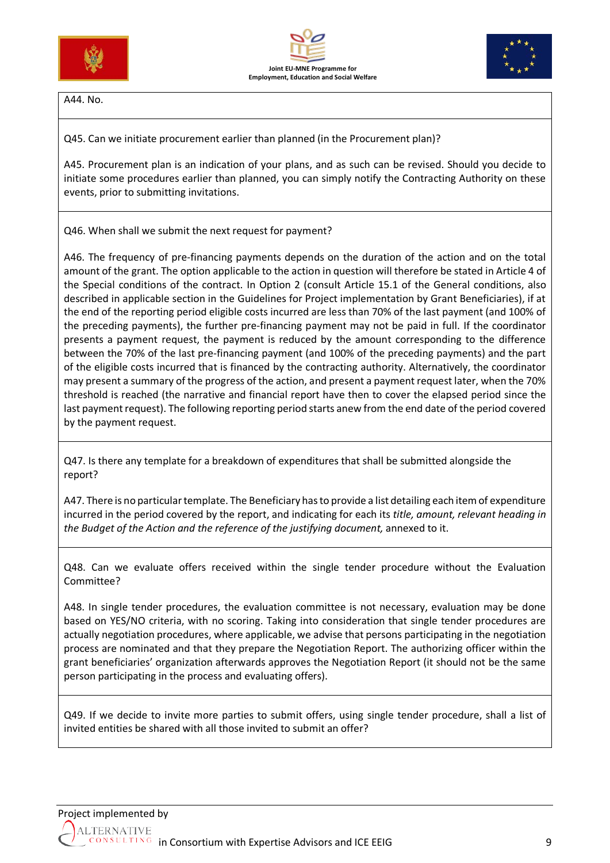





A44. No.

Q45. Can we initiate procurement earlier than planned (in the Procurement plan)?

A45. Procurement plan is an indication of your plans, and as such can be revised. Should you decide to initiate some procedures earlier than planned, you can simply notify the Contracting Authority on these events, prior to submitting invitations.

Q46. When shall we submit the next request for payment?

A46. The frequency of pre-financing payments depends on the duration of the action and on the total amount of the grant. The option applicable to the action in question will therefore be stated in Article 4 of the Special conditions of the contract. In Option 2 (consult Article 15.1 of the General conditions, also described in applicable section in the Guidelines for Project implementation by Grant Beneficiaries), if at the end of the reporting period eligible costs incurred are less than 70% of the last payment (and 100% of the preceding payments), the further pre-financing payment may not be paid in full. If the coordinator presents a payment request, the payment is reduced by the amount corresponding to the difference between the 70% of the last pre-financing payment (and 100% of the preceding payments) and the part of the eligible costs incurred that is financed by the contracting authority. Alternatively, the coordinator may present a summary of the progress of the action, and present a payment request later, when the 70% threshold is reached (the narrative and financial report have then to cover the elapsed period since the last payment request). The following reporting period starts anew from the end date of the period covered by the payment request.

Q47. Is there any template for a breakdown of expenditures that shall be submitted alongside the report?

A47. There is no particular template. The Beneficiary has to provide a list detailing each item of expenditure incurred in the period covered by the report, and indicating for each its *title, amount, relevant heading in the Budget of the Action and the reference of the justifying document,* annexed to it.

Q48. Can we evaluate offers received within the single tender procedure without the Evaluation Committee?

A48. In single tender procedures, the evaluation committee is not necessary, evaluation may be done based on YES/NO criteria, with no scoring. Taking into consideration that single tender procedures are actually negotiation procedures, where applicable, we advise that persons participating in the negotiation process are nominated and that they prepare the Negotiation Report. The authorizing officer within the grant beneficiaries' organization afterwards approves the Negotiation Report (it should not be the same person participating in the process and evaluating offers).

Q49. If we decide to invite more parties to submit offers, using single tender procedure, shall a list of invited entities be shared with all those invited to submit an offer?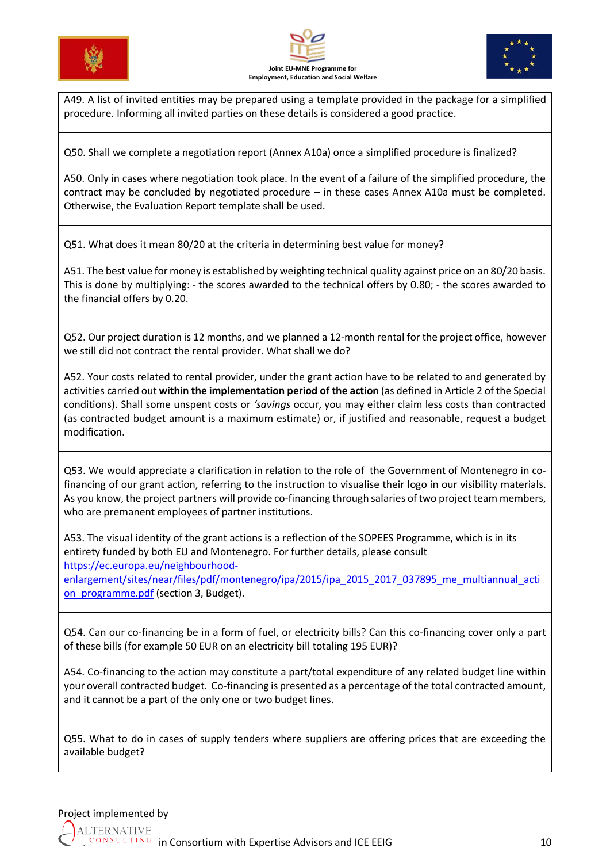





A49. A list of invited entities may be prepared using a template provided in the package for a simplified procedure. Informing all invited parties on these details is considered a good practice.

Q50. Shall we complete a negotiation report (Annex A10a) once a simplified procedure is finalized?

A50. Only in cases where negotiation took place. In the event of a failure of the simplified procedure, the contract may be concluded by negotiated procedure – in these cases Annex A10a must be completed. Otherwise, the Evaluation Report template shall be used.

Q51. What does it mean 80/20 at the criteria in determining best value for money?

A51. The best value for money is established by weighting technical quality against price on an 80/20 basis. This is done by multiplying: - the scores awarded to the technical offers by 0.80; - the scores awarded to the financial offers by 0.20.

Q52. Our project duration is 12 months, and we planned a 12-month rental for the project office, however we still did not contract the rental provider. What shall we do?

A52. Your costs related to rental provider, under the grant action have to be related to and generated by activities carried out **within the implementation period of the action** (as defined in Article 2 of the Special conditions). Shall some unspent costs or *'savings* occur, you may either claim less costs than contracted (as contracted budget amount is a maximum estimate) or, if justified and reasonable, request a budget modification.

Q53. We would appreciate a clarification in relation to the role of the Government of Montenegro in cofinancing of our grant action, referring to the instruction to visualise their logo in our visibility materials. As you know, the project partners will provide co-financing through salaries of two project team members, who are premanent employees of partner institutions.

A53. The visual identity of the grant actions is a reflection of the SOPEES Programme, which is in its entirety funded by both EU and Montenegro. For further details, please consult [https://ec.europa.eu/neighbourhood](https://ec.europa.eu/neighbourhood-enlargement/sites/near/files/pdf/montenegro/ipa/2015/ipa_2015_2017_037895_me_multiannual_action_programme.pdf)[enlargement/sites/near/files/pdf/montenegro/ipa/2015/ipa\\_2015\\_2017\\_037895\\_me\\_multiannual\\_acti](https://ec.europa.eu/neighbourhood-enlargement/sites/near/files/pdf/montenegro/ipa/2015/ipa_2015_2017_037895_me_multiannual_action_programme.pdf)

on programme.pdf (section 3, Budget).

Q54. Can our co-financing be in a form of fuel, or electricity bills? Can this co-financing cover only a part of these bills (for example 50 EUR on an electricity bill totaling 195 EUR)?

A54. Co-financing to the action may constitute a part/total expenditure of any related budget line within your overall contracted budget. Co-financing is presented as a percentage of the total contracted amount, and it cannot be a part of the only one or two budget lines.

Q55. What to do in cases of supply tenders where suppliers are offering prices that are exceeding the available budget?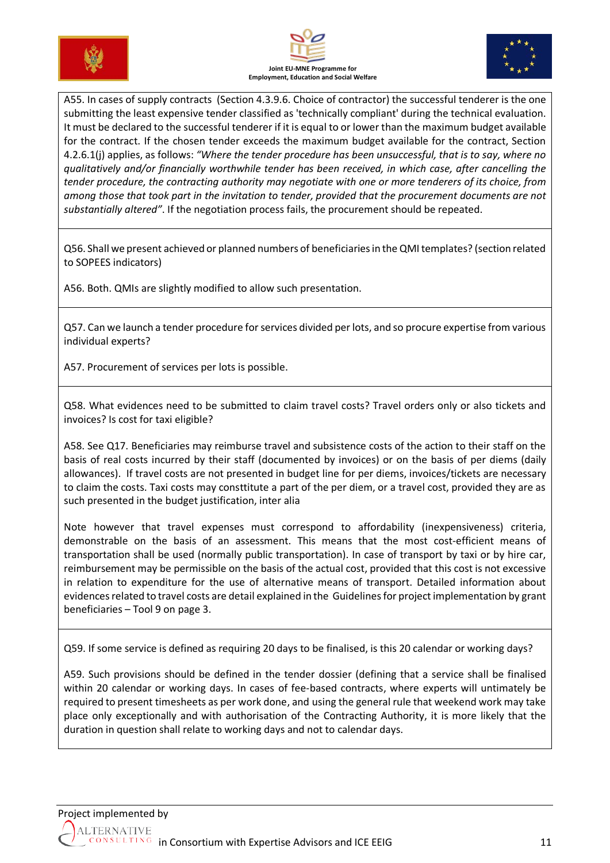





A55. In cases of supply contracts (Section 4.3.9.6. Choice of contractor) the successful tenderer is the one submitting the least expensive tender classified as 'technically compliant' during the technical evaluation. It must be declared to the successful tenderer if it is equal to or lower than the maximum budget available for the contract. If the chosen tender exceeds the maximum budget available for the contract, Section 4.2.6.1(j) applies, as follows: *"Where the tender procedure has been unsuccessful, that is to say, where no qualitatively and/or financially worthwhile tender has been received, in which case, after cancelling the tender procedure, the contracting authority may negotiate with one or more tenderers of its choice, from among those that took part in the invitation to tender, provided that the procurement documents are not substantially altered"*. If the negotiation process fails, the procurement should be repeated.

Q56. Shall we present achieved or planned numbers of beneficiaries in the QMI templates? (section related to SOPEES indicators)

A56. Both. QMIs are slightly modified to allow such presentation.

Q57. Can we launch a tender procedure for services divided per lots, and so procure expertise from various individual experts?

A57. Procurement of services per lots is possible.

Q58. What evidences need to be submitted to claim travel costs? Travel orders only or also tickets and invoices? Is cost for taxi eligible?

A58. See Q17. Beneficiaries may reimburse travel and subsistence costs of the action to their staff on the basis of real costs incurred by their staff (documented by invoices) or on the basis of per diems (daily allowances). If travel costs are not presented in budget line for per diems, invoices/tickets are necessary to claim the costs. Taxi costs may consttitute a part of the per diem, or a travel cost, provided they are as such presented in the budget justification, inter alia

Note however that travel expenses must correspond to affordability (inexpensiveness) criteria, demonstrable on the basis of an assessment. This means that the most cost-efficient means of transportation shall be used (normally public transportation). In case of transport by taxi or by hire car, reimbursement may be permissible on the basis of the actual cost, provided that this cost is not excessive in relation to expenditure for the use of alternative means of transport. Detailed information about evidences related to travel costs are detail explained in the Guidelines for project implementation by grant beneficiaries – Tool 9 on page 3.

Q59. If some service is defined as requiring 20 days to be finalised, is this 20 calendar or working days?

A59. Such provisions should be defined in the tender dossier (defining that a service shall be finalised within 20 calendar or working days. In cases of fee-based contracts, where experts will untimately be required to present timesheets as per work done, and using the general rule that weekend work may take place only exceptionally and with authorisation of the Contracting Authority, it is more likely that the duration in question shall relate to working days and not to calendar days.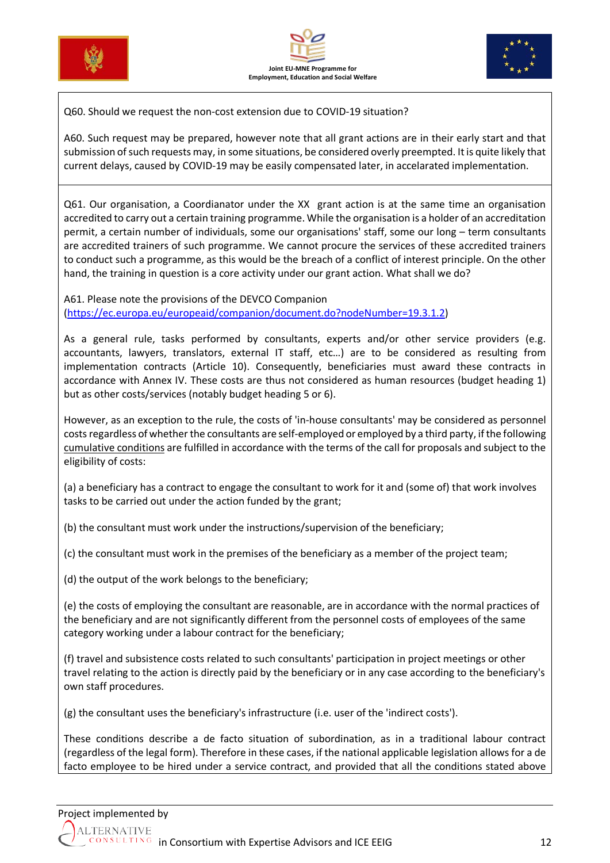





Q60. Should we request the non-cost extension due to COVID-19 situation?

A60. Such request may be prepared, however note that all grant actions are in their early start and that submission of such requests may, in some situations, be considered overly preempted. It is quite likely that current delays, caused by COVID-19 may be easily compensated later, in accelarated implementation.

Q61. Our organisation, a Coordianator under the XX grant action is at the same time an organisation accredited to carry out a certain training programme. While the organisation is a holder of an accreditation permit, a certain number of individuals, some our organisations' staff, some our long – term consultants are accredited trainers of such programme. We cannot procure the services of these accredited trainers to conduct such a programme, as this would be the breach of a conflict of interest principle. On the other hand, the training in question is a core activity under our grant action. What shall we do?

A61. Please note the provisions of the DEVCO Companion [\(https://ec.europa.eu/europeaid/companion/document.do?nodeNumber=19.3.1.2\)](https://ec.europa.eu/europeaid/companion/document.do?nodeNumber=19.3.1.2)

As a general rule, tasks performed by consultants, experts and/or other service providers (e.g. accountants, lawyers, translators, external IT staff, etc…) are to be considered as resulting from implementation contracts (Article 10). Consequently, beneficiaries must award these contracts in accordance with Annex IV. These costs are thus not considered as human resources (budget heading 1) but as other costs/services (notably budget heading 5 or 6).

However, as an exception to the rule, the costs of 'in-house consultants' may be considered as personnel costs regardless of whether the consultants are self-employed or employed by a third party, if the following cumulative conditions are fulfilled in accordance with the terms of the call for proposals and subject to the eligibility of costs:

(a) a beneficiary has a contract to engage the consultant to work for it and (some of) that work involves tasks to be carried out under the action funded by the grant;

(b) the consultant must work under the instructions/supervision of the beneficiary;

(c) the consultant must work in the premises of the beneficiary as a member of the project team;

(d) the output of the work belongs to the beneficiary;

(e) the costs of employing the consultant are reasonable, are in accordance with the normal practices of the beneficiary and are not significantly different from the personnel costs of employees of the same category working under a labour contract for the beneficiary;

(f) travel and subsistence costs related to such consultants' participation in project meetings or other travel relating to the action is directly paid by the beneficiary or in any case according to the beneficiary's own staff procedures.

(g) the consultant uses the beneficiary's infrastructure (i.e. user of the 'indirect costs').

These conditions describe a de facto situation of subordination, as in a traditional labour contract (regardless of the legal form). Therefore in these cases, if the national applicable legislation allows for a de facto employee to be hired under a service contract, and provided that all the conditions stated above